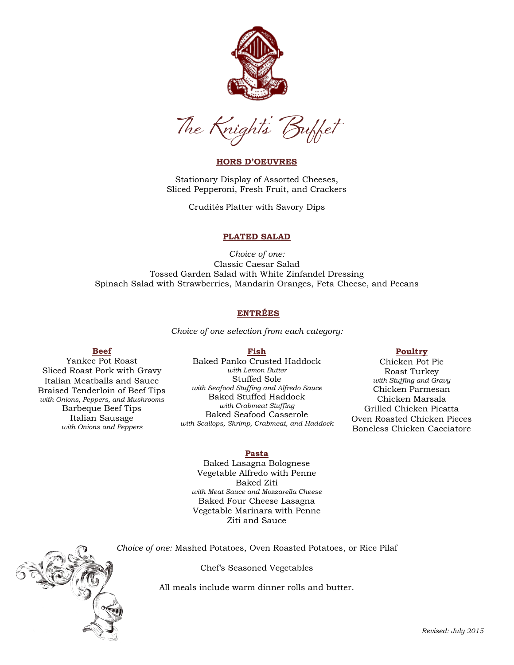



# **HORS D'OEUVRES**

Stationary Display of Assorted Cheeses, Sliced Pepperoni, Fresh Fruit, and Crackers

Crudités Platter with Savory Dips

# **PLATED SALAD**

*Choice of one:* Classic Caesar Salad Tossed Garden Salad with White Zinfandel Dressing Spinach Salad with Strawberries, Mandarin Oranges, Feta Cheese, and Pecans

# **ENTRÉES**

*Choice of one selection from each category:*

## **Beef**

Yankee Pot Roast Sliced Roast Pork with Gravy Italian Meatballs and Sauce Braised Tenderloin of Beef Tips *with Onions, Peppers, and Mushrooms* Barbeque Beef Tips Italian Sausage *with Onions and Peppers*

**Fish** Baked Panko Crusted Haddock *with Lemon Butter* Stuffed Sole *with Seafood Stuffing and Alfredo Sauce* Baked Stuffed Haddock *with Crabmeat Stuffing* Baked Seafood Casserole *with Scallops, Shrimp, Crabmeat, and Haddock*

### **Poultry**

Chicken Pot Pie Roast Turkey *with Stuffing and Gravy* Chicken Parmesan Chicken Marsala Grilled Chicken Picatta Oven Roasted Chicken Pieces Boneless Chicken Cacciatore

#### **Pasta**

Baked Lasagna Bolognese Vegetable Alfredo with Penne Baked Ziti *with Meat Sauce and Mozzarella Cheese* Baked Four Cheese Lasagna Vegetable Marinara with Penne Ziti and Sauce

*Choice of one:* Mashed Potatoes, Oven Roasted Potatoes, or Rice Pilaf

Chef's Seasoned Vegetables

All meals include warm dinner rolls and butter.